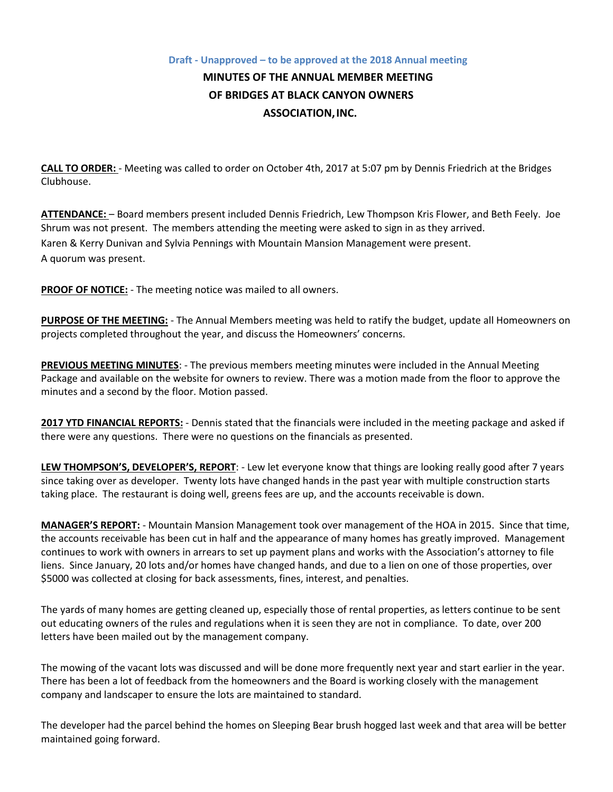## **Draft - Unapproved – to be approved at the 2018 Annual meeting MINUTES OF THE ANNUAL MEMBER MEETING OF BRIDGES AT BLACK CANYON OWNERS ASSOCIATION,INC.**

**CALL TO ORDER:** - Meeting was called to order on October 4th, 2017 at 5:07 pm by Dennis Friedrich at the Bridges Clubhouse.

**ATTENDANCE:** – Board members present included Dennis Friedrich, Lew Thompson Kris Flower, and Beth Feely. Joe Shrum was not present. The members attending the meeting were asked to sign in as they arrived. Karen & Kerry Dunivan and Sylvia Pennings with Mountain Mansion Management were present. A quorum was present.

**PROOF OF NOTICE:** - The meeting notice was mailed to all owners.

**PURPOSE OF THE MEETING:** - The Annual Members meeting was held to ratify the budget, update all Homeowners on projects completed throughout the year, and discuss the Homeowners' concerns.

**PREVIOUS MEETING MINUTES**: - The previous members meeting minutes were included in the Annual Meeting Package and available on the website for owners to review. There was a motion made from the floor to approve the minutes and a second by the floor. Motion passed.

**2017 YTD FINANCIAL REPORTS:** - Dennis stated that the financials were included in the meeting package and asked if there were any questions. There were no questions on the financials as presented.

**LEW THOMPSON'S, DEVELOPER'S, REPORT**: - Lew let everyone know that things are looking really good after 7 years since taking over as developer. Twenty lots have changed hands in the past year with multiple construction starts taking place. The restaurant is doing well, greens fees are up, and the accounts receivable is down.

**MANAGER'S REPORT:** - Mountain Mansion Management took over management of the HOA in 2015. Since that time, the accounts receivable has been cut in half and the appearance of many homes has greatly improved. Management continues to work with owners in arrears to set up payment plans and works with the Association's attorney to file liens. Since January, 20 lots and/or homes have changed hands, and due to a lien on one of those properties, over \$5000 was collected at closing for back assessments, fines, interest, and penalties.

The yards of many homes are getting cleaned up, especially those of rental properties, as letters continue to be sent out educating owners of the rules and regulations when it is seen they are not in compliance. To date, over 200 letters have been mailed out by the management company.

The mowing of the vacant lots was discussed and will be done more frequently next year and start earlier in the year. There has been a lot of feedback from the homeowners and the Board is working closely with the management company and landscaper to ensure the lots are maintained to standard.

The developer had the parcel behind the homes on Sleeping Bear brush hogged last week and that area will be better maintained going forward.